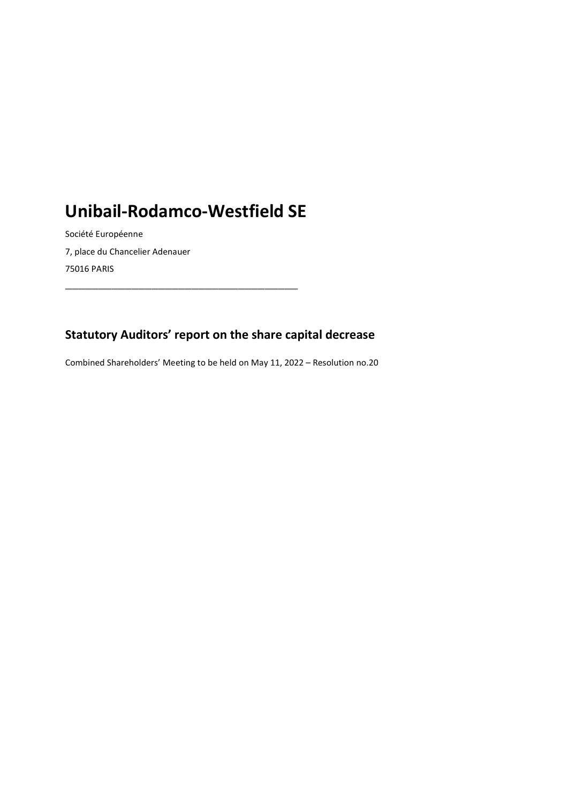# Unibail-Rodamco-Westfield SE

\_\_\_\_\_\_\_\_\_\_\_\_\_\_\_\_\_\_\_\_\_\_\_\_\_\_\_\_\_\_\_\_\_\_\_

Société Européenne 7, place du Chancelier Adenauer 75016 PARIS

### Statutory Auditors' report on the share capital decrease

Combined Shareholders' Meeting to be held on May 11, 2022 – Resolution no.20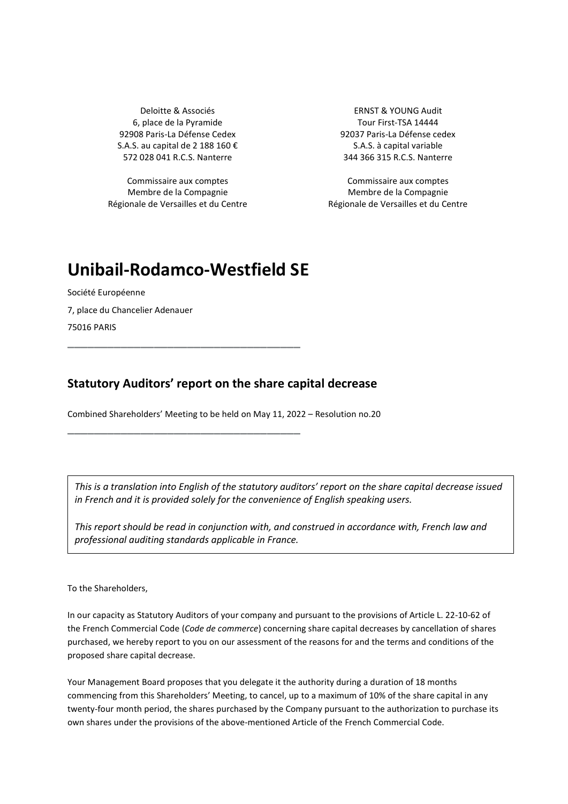6, place de la Pyramide Tour First-TSA 14444 92908 Paris-La Défense Cedex 92037 Paris-La Défense cedex S.A.S. au capital de 2 188 160 € S.A.S. à capital variable 572 028 041 R.C.S. Nanterre 344 366 315 R.C.S. Nanterre

Commissaire aux comptes Commissaire aux comptes Membre de la Compagnie Régionale de Versailles et du Centre

Deloitte & Associés **ERNST & YOUNG Audit** 

Membre de la Compagnie Régionale de Versailles et du Centre

## Unibail-Rodamco-Westfield SE

\_\_\_\_\_\_\_\_\_\_\_\_\_\_\_\_\_\_\_\_\_\_\_\_\_\_\_\_\_\_\_\_\_\_\_

Société Européenne 7, place du Chancelier Adenauer 75016 PARIS \_\_\_\_\_\_\_\_\_\_\_\_\_\_\_\_\_\_\_\_\_\_\_\_\_\_\_\_\_\_\_\_\_\_\_

#### Statutory Auditors' report on the share capital decrease

Combined Shareholders' Meeting to be held on May 11, 2022 – Resolution no.20

This is a translation into English of the statutory auditors' report on the share capital decrease issued in French and it is provided solely for the convenience of English speaking users.

This report should be read in conjunction with, and construed in accordance with, French law and professional auditing standards applicable in France.

To the Shareholders,

In our capacity as Statutory Auditors of your company and pursuant to the provisions of Article L. 22-10-62 of the French Commercial Code (Code de commerce) concerning share capital decreases by cancellation of shares purchased, we hereby report to you on our assessment of the reasons for and the terms and conditions of the proposed share capital decrease.

Your Management Board proposes that you delegate it the authority during a duration of 18 months commencing from this Shareholders' Meeting, to cancel, up to a maximum of 10% of the share capital in any twenty-four month period, the shares purchased by the Company pursuant to the authorization to purchase its own shares under the provisions of the above-mentioned Article of the French Commercial Code.